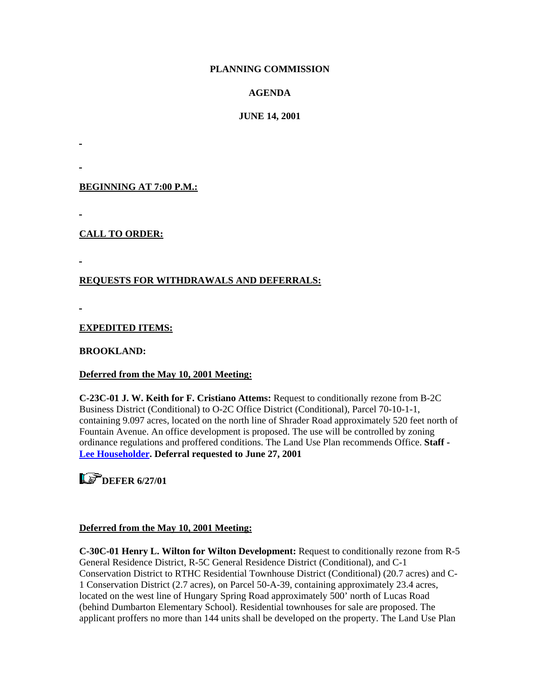### **PLANNING COMMISSION**

### **AGENDA**

### **JUNE 14, 2001**

**BEGINNING AT 7:00 P.M.:**

**CALL TO ORDER:**

### **REQUESTS FOR WITHDRAWALS AND DEFERRALS:**

**EXPEDITED ITEMS:**

**BROOKLAND:** 

### **Deferred from the May 10, 2001 Meeting:**

**C-23C-01 J. W. Keith for F. Cristiano Attems:** Request to conditionally rezone from B-2C Business District (Conditional) to O-2C Office District (Conditional), Parcel 70-10-1-1, containing 9.097 acres, located on the north line of Shrader Road approximately 520 feet north of Fountain Avenue. An office development is proposed. The use will be controlled by zoning ordinance regulations and proffered conditions. The Land Use Plan recommends Office. **Staff - [Lee Householder.](mailto:hou10@co.henrico.va.us) Deferral requested to June 27, 2001** 

### **LS** DEFER 6/27/01

### **Deferred from the May 10, 2001 Meeting:**

**C-30C-01 Henry L. Wilton for Wilton Development:** Request to conditionally rezone from R-5 General Residence District, R-5C General Residence District (Conditional), and C-1 Conservation District to RTHC Residential Townhouse District (Conditional) (20.7 acres) and C-1 Conservation District (2.7 acres), on Parcel 50-A-39, containing approximately 23.4 acres, located on the west line of Hungary Spring Road approximately 500' north of Lucas Road (behind Dumbarton Elementary School). Residential townhouses for sale are proposed. The applicant proffers no more than 144 units shall be developed on the property. The Land Use Plan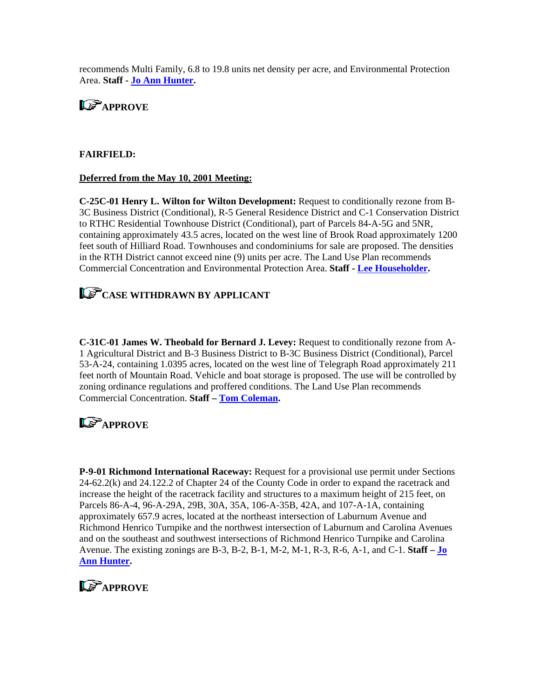recommends Multi Family, 6.8 to 19.8 units net density per acre, and Environmental Protection Area. **Staff - [Jo Ann Hunter.](mailto:hun30@co.henrico.va.us)** 



#### **FAIRFIELD:**

#### **Deferred from the May 10, 2001 Meeting:**

**C-25C-01 Henry L. Wilton for Wilton Development:** Request to conditionally rezone from B-3C Business District (Conditional), R-5 General Residence District and C-1 Conservation District to RTHC Residential Townhouse District (Conditional), part of Parcels 84-A-5G and 5NR, containing approximately 43.5 acres, located on the west line of Brook Road approximately 1200 feet south of Hilliard Road. Townhouses and condominiums for sale are proposed. The densities in the RTH District cannot exceed nine (9) units per acre. The Land Use Plan recommends Commercial Concentration and Environmental Protection Area. **Staff - [Lee Householder](mailto:hou10@co.henrico.va.us).** 

# **CASE WITHDRAWN BY APPLICANT**

**C-31C-01 James W. Theobald for Bernard J. Levey:** Request to conditionally rezone from A-1 Agricultural District and B-3 Business District to B-3C Business District (Conditional), Parcel 53-A-24, containing 1.0395 acres, located on the west line of Telegraph Road approximately 211 feet north of Mountain Road. Vehicle and boat storage is proposed. The use will be controlled by zoning ordinance regulations and proffered conditions. The Land Use Plan recommends Commercial Concentration. **Staff – [Tom Coleman](mailto:col09@co.henrico.va.us).** 

# **LE-APPROVE**

**P-9-01 Richmond International Raceway:** Request for a provisional use permit under Sections 24-62.2(k) and 24.122.2 of Chapter 24 of the County Code in order to expand the racetrack and increase the height of the racetrack facility and structures to a maximum height of 215 feet, on Parcels 86-A-4, 96-A-29A, 29B, 30A, 35A, 106-A-35B, 42A, and 107-A-1A, containing approximately 657.9 acres, located at the northeast intersection of Laburnum Avenue and Richmond Henrico Turnpike and the northwest intersection of Laburnum and Carolina Avenues and on the southeast and southwest intersections of Richmond Henrico Turnpike and Carolina Avenue. The existing zonings are B-3, B-2, B-1, M-2, M-1, R-3, R-6, A-1, and C-1. **Staff – [Jo](mailto:hun30@co.henrico.va.us)  [Ann Hunter](mailto:hun30@co.henrico.va.us).** 

## **LS** APPROVE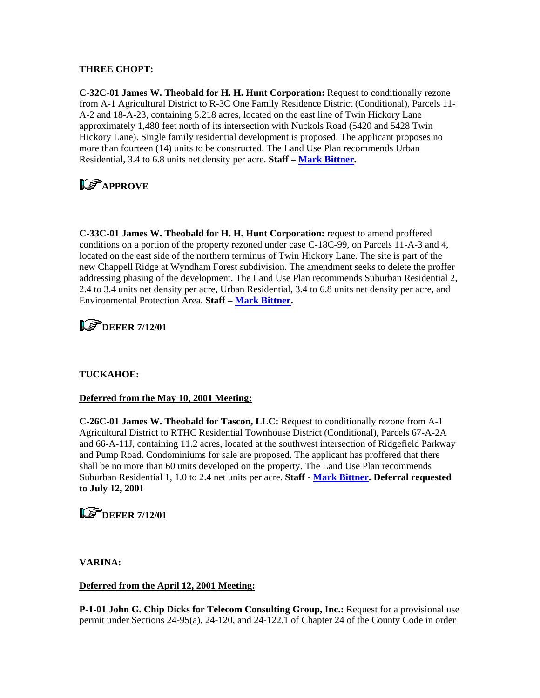### **THREE CHOPT:**

**C-32C-01 James W. Theobald for H. H. Hunt Corporation:** Request to conditionally rezone from A-1 Agricultural District to R-3C One Family Residence District (Conditional), Parcels 11- A-2 and 18-A-23, containing 5.218 acres, located on the east line of Twin Hickory Lane approximately 1,480 feet north of its intersection with Nuckols Road (5420 and 5428 Twin Hickory Lane). Single family residential development is proposed. The applicant proposes no more than fourteen (14) units to be constructed. The Land Use Plan recommends Urban Residential, 3.4 to 6.8 units net density per acre. **Staff – [Mark Bittner.](mailto:bit10@co.henrico.va.us)** 

# **Le** APPROVE

**C-33C-01 James W. Theobald for H. H. Hunt Corporation:** request to amend proffered conditions on a portion of the property rezoned under case C-18C-99, on Parcels 11-A-3 and 4, located on the east side of the northern terminus of Twin Hickory Lane. The site is part of the new Chappell Ridge at Wyndham Forest subdivision. The amendment seeks to delete the proffer addressing phasing of the development. The Land Use Plan recommends Suburban Residential 2, 2.4 to 3.4 units net density per acre, Urban Residential, 3.4 to 6.8 units net density per acre, and Environmental Protection Area. **Staff – [Mark Bittner.](mailto:bit10@co.henrico.va.us)** 

# **LE DEFER 7/12/01**

### **TUCKAHOE:**

### **Deferred from the May 10, 2001 Meeting:**

**C-26C-01 James W. Theobald for Tascon, LLC:** Request to conditionally rezone from A-1 Agricultural District to RTHC Residential Townhouse District (Conditional), Parcels 67-A-2A and 66-A-11J, containing 11.2 acres, located at the southwest intersection of Ridgefield Parkway and Pump Road. Condominiums for sale are proposed. The applicant has proffered that there shall be no more than 60 units developed on the property. The Land Use Plan recommends Suburban Residential 1, 1.0 to 2.4 net units per acre. **Staff - [Mark Bittner](mailto:bit10@co.henrico.va.us). Deferral requested to July 12, 2001** 

### **LS** DEFER 7/12/01

**VARINA:** 

### **Deferred from the April 12, 2001 Meeting:**

**P-1-01 John G. Chip Dicks for Telecom Consulting Group, Inc.:** Request for a provisional use permit under Sections 24-95(a), 24-120, and 24-122.1 of Chapter 24 of the County Code in order